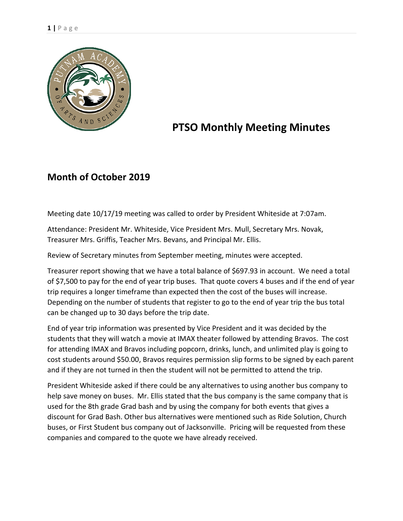

## **PTSO Monthly Meeting Minutes**

## **Month of October 2019**

Meeting date 10/17/19 meeting was called to order by President Whiteside at 7:07am.

Attendance: President Mr. Whiteside, Vice President Mrs. Mull, Secretary Mrs. Novak, Treasurer Mrs. Griffis, Teacher Mrs. Bevans, and Principal Mr. Ellis.

Review of Secretary minutes from September meeting, minutes were accepted.

Treasurer report showing that we have a total balance of \$697.93 in account. We need a total of \$7,500 to pay for the end of year trip buses. That quote covers 4 buses and if the end of year trip requires a longer timeframe than expected then the cost of the buses will increase. Depending on the number of students that register to go to the end of year trip the bus total can be changed up to 30 days before the trip date.

End of year trip information was presented by Vice President and it was decided by the students that they will watch a movie at IMAX theater followed by attending Bravos. The cost for attending IMAX and Bravos including popcorn, drinks, lunch, and unlimited play is going to cost students around \$50.00, Bravos requires permission slip forms to be signed by each parent and if they are not turned in then the student will not be permitted to attend the trip.

President Whiteside asked if there could be any alternatives to using another bus company to help save money on buses. Mr. Ellis stated that the bus company is the same company that is used for the 8th grade Grad bash and by using the company for both events that gives a discount for Grad Bash. Other bus alternatives were mentioned such as Ride Solution, Church buses, or First Student bus company out of Jacksonville. Pricing will be requested from these companies and compared to the quote we have already received.